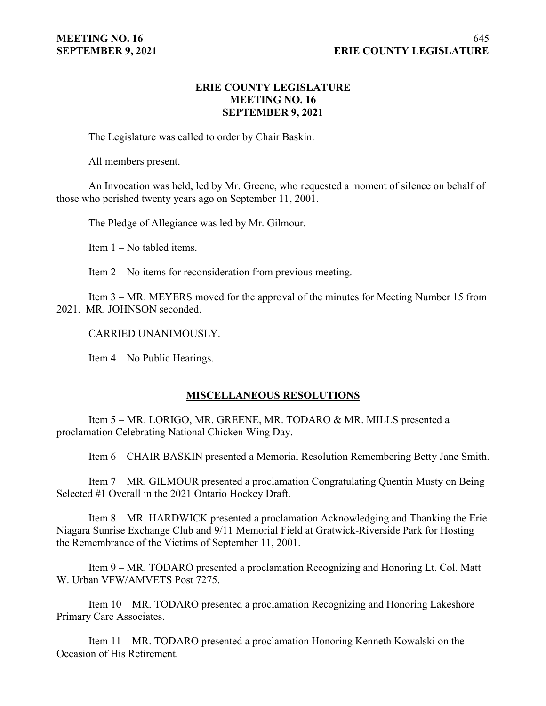## **ERIE COUNTY LEGISLATURE MEETING NO. 16 SEPTEMBER 9, 2021**

The Legislature was called to order by Chair Baskin.

All members present.

An Invocation was held, led by Mr. Greene, who requested a moment of silence on behalf of those who perished twenty years ago on September 11, 2001.

The Pledge of Allegiance was led by Mr. Gilmour.

Item 1 – No tabled items.

Item 2 – No items for reconsideration from previous meeting.

Item 3 – MR. MEYERS moved for the approval of the minutes for Meeting Number 15 from 2021. MR. JOHNSON seconded.

CARRIED UNANIMOUSLY.

Item 4 – No Public Hearings.

# **MISCELLANEOUS RESOLUTIONS**

Item 5 – MR. LORIGO, MR. GREENE, MR. TODARO & MR. MILLS presented a proclamation Celebrating National Chicken Wing Day.

Item 6 – CHAIR BASKIN presented a Memorial Resolution Remembering Betty Jane Smith.

Item 7 – MR. GILMOUR presented a proclamation Congratulating Quentin Musty on Being Selected #1 Overall in the 2021 Ontario Hockey Draft.

Item 8 – MR. HARDWICK presented a proclamation Acknowledging and Thanking the Erie Niagara Sunrise Exchange Club and 9/11 Memorial Field at Gratwick-Riverside Park for Hosting the Remembrance of the Victims of September 11, 2001.

Item 9 – MR. TODARO presented a proclamation Recognizing and Honoring Lt. Col. Matt W. Urban VFW/AMVETS Post 7275.

Item 10 – MR. TODARO presented a proclamation Recognizing and Honoring Lakeshore Primary Care Associates.

Item 11 – MR. TODARO presented a proclamation Honoring Kenneth Kowalski on the Occasion of His Retirement.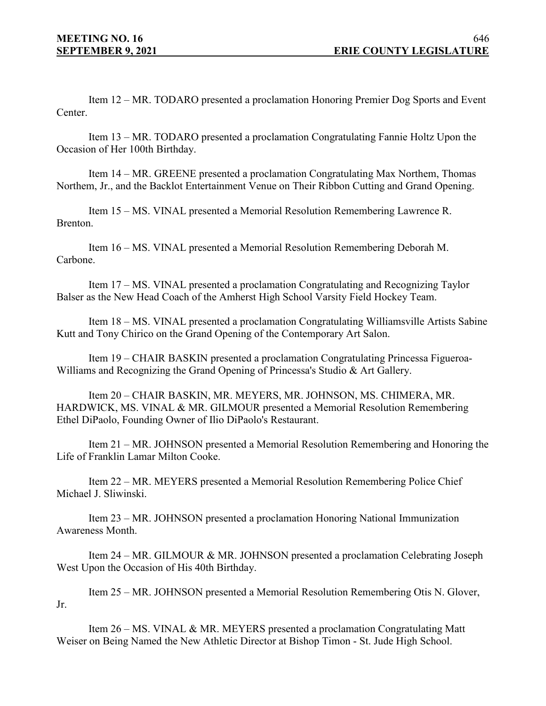Item 12 – MR. TODARO presented a proclamation Honoring Premier Dog Sports and Event Center.

Item 13 – MR. TODARO presented a proclamation Congratulating Fannie Holtz Upon the Occasion of Her 100th Birthday.

Item 14 – MR. GREENE presented a proclamation Congratulating Max Northem, Thomas Northem, Jr., and the Backlot Entertainment Venue on Their Ribbon Cutting and Grand Opening.

Item 15 – MS. VINAL presented a Memorial Resolution Remembering Lawrence R. Brenton.

Item 16 – MS. VINAL presented a Memorial Resolution Remembering Deborah M. Carbone.

Item 17 – MS. VINAL presented a proclamation Congratulating and Recognizing Taylor Balser as the New Head Coach of the Amherst High School Varsity Field Hockey Team.

Item 18 – MS. VINAL presented a proclamation Congratulating Williamsville Artists Sabine Kutt and Tony Chirico on the Grand Opening of the Contemporary Art Salon.

Item 19 – CHAIR BASKIN presented a proclamation Congratulating Princessa Figueroa-Williams and Recognizing the Grand Opening of Princessa's Studio & Art Gallery.

Item 20 – CHAIR BASKIN, MR. MEYERS, MR. JOHNSON, MS. CHIMERA, MR. HARDWICK, MS. VINAL & MR. GILMOUR presented a Memorial Resolution Remembering Ethel DiPaolo, Founding Owner of Ilio DiPaolo's Restaurant.

Item 21 – MR. JOHNSON presented a Memorial Resolution Remembering and Honoring the Life of Franklin Lamar Milton Cooke.

Item 22 – MR. MEYERS presented a Memorial Resolution Remembering Police Chief Michael J. Sliwinski.

Item 23 – MR. JOHNSON presented a proclamation Honoring National Immunization Awareness Month.

Item 24 – MR. GILMOUR & MR. JOHNSON presented a proclamation Celebrating Joseph West Upon the Occasion of His 40th Birthday.

Item 25 – MR. JOHNSON presented a Memorial Resolution Remembering Otis N. Glover, Jr.

Item 26 – MS. VINAL & MR. MEYERS presented a proclamation Congratulating Matt Weiser on Being Named the New Athletic Director at Bishop Timon - St. Jude High School.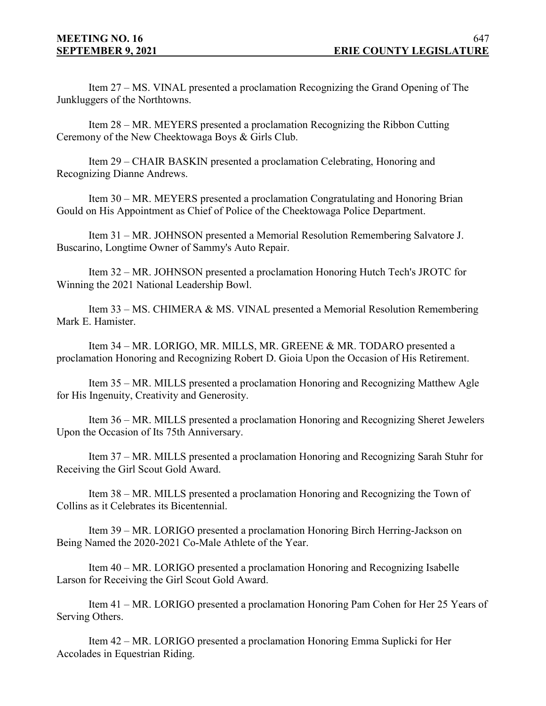Item 27 – MS. VINAL presented a proclamation Recognizing the Grand Opening of The Junkluggers of the Northtowns.

Item 28 – MR. MEYERS presented a proclamation Recognizing the Ribbon Cutting Ceremony of the New Cheektowaga Boys & Girls Club.

Item 29 – CHAIR BASKIN presented a proclamation Celebrating, Honoring and Recognizing Dianne Andrews.

Item 30 – MR. MEYERS presented a proclamation Congratulating and Honoring Brian Gould on His Appointment as Chief of Police of the Cheektowaga Police Department.

Item 31 – MR. JOHNSON presented a Memorial Resolution Remembering Salvatore J. Buscarino, Longtime Owner of Sammy's Auto Repair.

Item 32 – MR. JOHNSON presented a proclamation Honoring Hutch Tech's JROTC for Winning the 2021 National Leadership Bowl.

Item 33 – MS. CHIMERA & MS. VINAL presented a Memorial Resolution Remembering Mark E. Hamister.

Item 34 – MR. LORIGO, MR. MILLS, MR. GREENE & MR. TODARO presented a proclamation Honoring and Recognizing Robert D. Gioia Upon the Occasion of His Retirement.

Item 35 – MR. MILLS presented a proclamation Honoring and Recognizing Matthew Agle for His Ingenuity, Creativity and Generosity.

Item 36 – MR. MILLS presented a proclamation Honoring and Recognizing Sheret Jewelers Upon the Occasion of Its 75th Anniversary.

Item 37 – MR. MILLS presented a proclamation Honoring and Recognizing Sarah Stuhr for Receiving the Girl Scout Gold Award.

Item 38 – MR. MILLS presented a proclamation Honoring and Recognizing the Town of Collins as it Celebrates its Bicentennial.

Item 39 – MR. LORIGO presented a proclamation Honoring Birch Herring-Jackson on Being Named the 2020-2021 Co-Male Athlete of the Year.

Item 40 – MR. LORIGO presented a proclamation Honoring and Recognizing Isabelle Larson for Receiving the Girl Scout Gold Award.

Item 41 – MR. LORIGO presented a proclamation Honoring Pam Cohen for Her 25 Years of Serving Others.

Item 42 – MR. LORIGO presented a proclamation Honoring Emma Suplicki for Her Accolades in Equestrian Riding.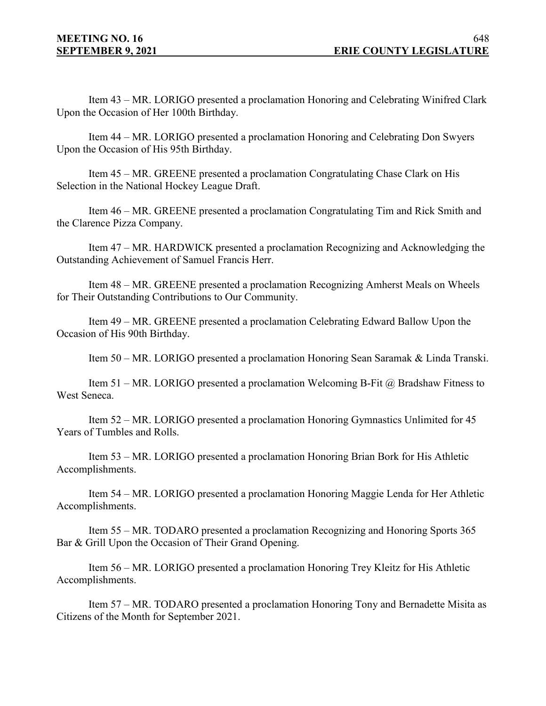Item 43 – MR. LORIGO presented a proclamation Honoring and Celebrating Winifred Clark Upon the Occasion of Her 100th Birthday.

Item 44 – MR. LORIGO presented a proclamation Honoring and Celebrating Don Swyers Upon the Occasion of His 95th Birthday.

Item 45 – MR. GREENE presented a proclamation Congratulating Chase Clark on His Selection in the National Hockey League Draft.

Item 46 – MR. GREENE presented a proclamation Congratulating Tim and Rick Smith and the Clarence Pizza Company.

Item 47 – MR. HARDWICK presented a proclamation Recognizing and Acknowledging the Outstanding Achievement of Samuel Francis Herr.

Item 48 – MR. GREENE presented a proclamation Recognizing Amherst Meals on Wheels for Their Outstanding Contributions to Our Community.

Item 49 – MR. GREENE presented a proclamation Celebrating Edward Ballow Upon the Occasion of His 90th Birthday.

Item 50 – MR. LORIGO presented a proclamation Honoring Sean Saramak & Linda Transki.

Item 51 – MR. LORIGO presented a proclamation Welcoming B-Fit  $\omega$  Bradshaw Fitness to West Seneca.

Item 52 – MR. LORIGO presented a proclamation Honoring Gymnastics Unlimited for 45 Years of Tumbles and Rolls.

Item 53 – MR. LORIGO presented a proclamation Honoring Brian Bork for His Athletic Accomplishments.

Item 54 – MR. LORIGO presented a proclamation Honoring Maggie Lenda for Her Athletic Accomplishments.

Item 55 – MR. TODARO presented a proclamation Recognizing and Honoring Sports 365 Bar & Grill Upon the Occasion of Their Grand Opening.

Item 56 – MR. LORIGO presented a proclamation Honoring Trey Kleitz for His Athletic Accomplishments.

Item 57 – MR. TODARO presented a proclamation Honoring Tony and Bernadette Misita as Citizens of the Month for September 2021.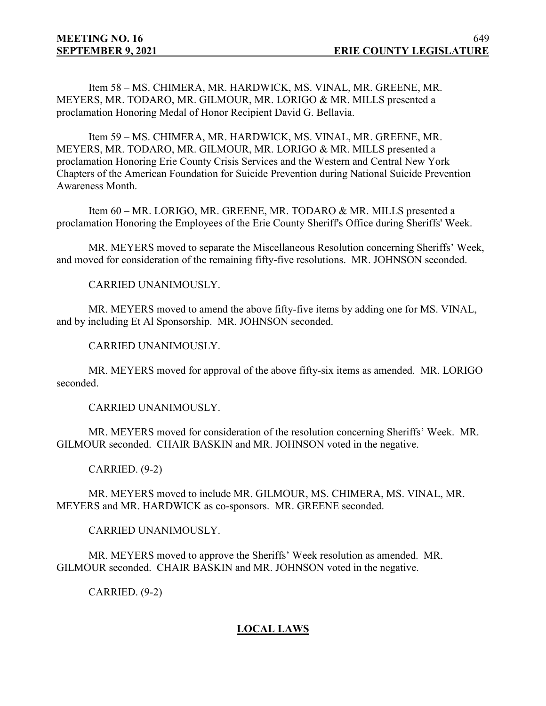Item 58 – MS. CHIMERA, MR. HARDWICK, MS. VINAL, MR. GREENE, MR. MEYERS, MR. TODARO, MR. GILMOUR, MR. LORIGO & MR. MILLS presented a proclamation Honoring Medal of Honor Recipient David G. Bellavia.

Item 59 – MS. CHIMERA, MR. HARDWICK, MS. VINAL, MR. GREENE, MR. MEYERS, MR. TODARO, MR. GILMOUR, MR. LORIGO & MR. MILLS presented a proclamation Honoring Erie County Crisis Services and the Western and Central New York Chapters of the American Foundation for Suicide Prevention during National Suicide Prevention Awareness Month.

Item 60 – MR. LORIGO, MR. GREENE, MR. TODARO & MR. MILLS presented a proclamation Honoring the Employees of the Erie County Sheriff's Office during Sheriffs' Week.

MR. MEYERS moved to separate the Miscellaneous Resolution concerning Sheriffs' Week, and moved for consideration of the remaining fifty-five resolutions. MR. JOHNSON seconded.

CARRIED UNANIMOUSLY.

MR. MEYERS moved to amend the above fifty-five items by adding one for MS. VINAL, and by including Et Al Sponsorship. MR. JOHNSON seconded.

CARRIED UNANIMOUSLY.

MR. MEYERS moved for approval of the above fifty-six items as amended. MR. LORIGO seconded.

CARRIED UNANIMOUSLY.

MR. MEYERS moved for consideration of the resolution concerning Sheriffs' Week. MR. GILMOUR seconded. CHAIR BASKIN and MR. JOHNSON voted in the negative.

CARRIED. (9-2)

MR. MEYERS moved to include MR. GILMOUR, MS. CHIMERA, MS. VINAL, MR. MEYERS and MR. HARDWICK as co-sponsors. MR. GREENE seconded.

CARRIED UNANIMOUSLY.

MR. MEYERS moved to approve the Sheriffs' Week resolution as amended. MR. GILMOUR seconded. CHAIR BASKIN and MR. JOHNSON voted in the negative.

CARRIED. (9-2)

# **LOCAL LAWS**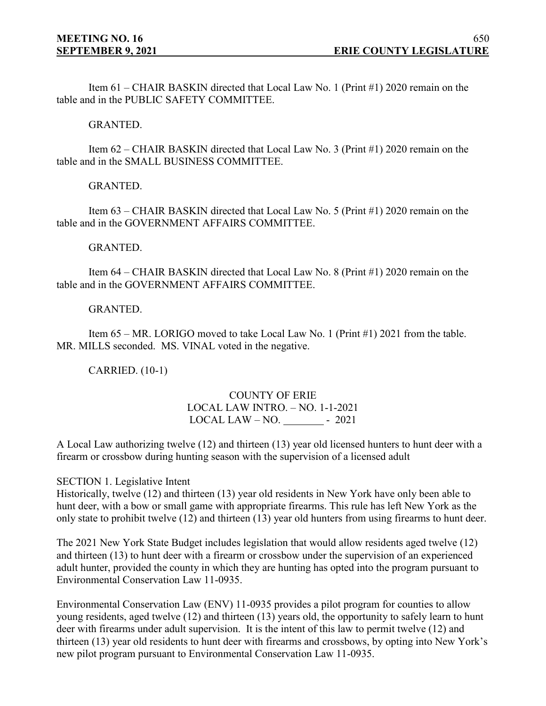Item 61 – CHAIR BASKIN directed that Local Law No. 1 (Print #1) 2020 remain on the table and in the PUBLIC SAFETY COMMITTEE.

GRANTED.

Item 62 – CHAIR BASKIN directed that Local Law No. 3 (Print #1) 2020 remain on the table and in the SMALL BUSINESS COMMITTEE.

GRANTED.

Item 63 – CHAIR BASKIN directed that Local Law No. 5 (Print #1) 2020 remain on the table and in the GOVERNMENT AFFAIRS COMMITTEE.

GRANTED.

Item 64 – CHAIR BASKIN directed that Local Law No. 8 (Print #1) 2020 remain on the table and in the GOVERNMENT AFFAIRS COMMITTEE.

#### GRANTED.

Item 65 – MR. LORIGO moved to take Local Law No. 1 (Print #1) 2021 from the table. MR. MILLS seconded. MS. VINAL voted in the negative.

CARRIED. (10-1)

## COUNTY OF ERIE LOCAL LAW INTRO. – NO. 1-1-2021  $LOCAL$   $LAW - NO. - 2021$

A Local Law authorizing twelve (12) and thirteen (13) year old licensed hunters to hunt deer with a firearm or crossbow during hunting season with the supervision of a licensed adult

SECTION 1. Legislative Intent

Historically, twelve (12) and thirteen (13) year old residents in New York have only been able to hunt deer, with a bow or small game with appropriate firearms. This rule has left New York as the only state to prohibit twelve (12) and thirteen (13) year old hunters from using firearms to hunt deer.

The 2021 New York State Budget includes legislation that would allow residents aged twelve (12) and thirteen (13) to hunt deer with a firearm or crossbow under the supervision of an experienced adult hunter, provided the county in which they are hunting has opted into the program pursuant to Environmental Conservation Law 11-0935.

Environmental Conservation Law (ENV) 11-0935 provides a pilot program for counties to allow young residents, aged twelve (12) and thirteen (13) years old, the opportunity to safely learn to hunt deer with firearms under adult supervision. It is the intent of this law to permit twelve (12) and thirteen (13) year old residents to hunt deer with firearms and crossbows, by opting into New York's new pilot program pursuant to Environmental Conservation Law 11-0935.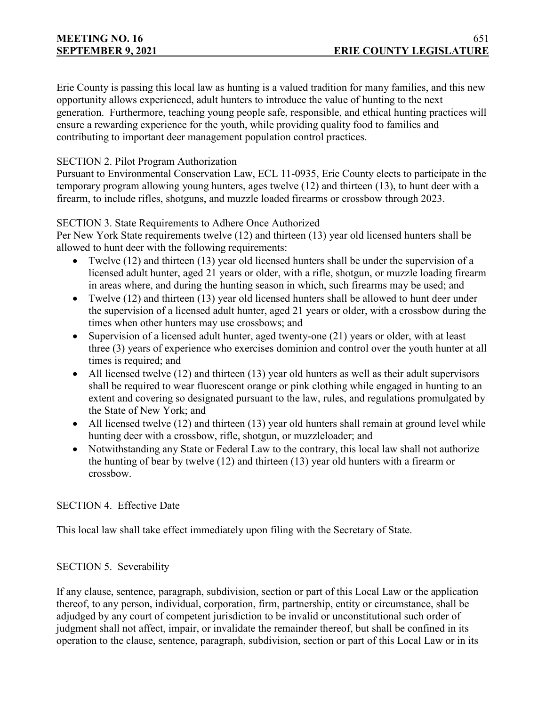Erie County is passing this local law as hunting is a valued tradition for many families, and this new opportunity allows experienced, adult hunters to introduce the value of hunting to the next generation. Furthermore, teaching young people safe, responsible, and ethical hunting practices will ensure a rewarding experience for the youth, while providing quality food to families and contributing to important deer management population control practices.

# SECTION 2. Pilot Program Authorization

Pursuant to Environmental Conservation Law, ECL 11-0935, Erie County elects to participate in the temporary program allowing young hunters, ages twelve (12) and thirteen (13), to hunt deer with a firearm, to include rifles, shotguns, and muzzle loaded firearms or crossbow through 2023.

# SECTION 3. State Requirements to Adhere Once Authorized

Per New York State requirements twelve (12) and thirteen (13) year old licensed hunters shall be allowed to hunt deer with the following requirements:

- Twelve (12) and thirteen (13) year old licensed hunters shall be under the supervision of a licensed adult hunter, aged 21 years or older, with a rifle, shotgun, or muzzle loading firearm in areas where, and during the hunting season in which, such firearms may be used; and
- Twelve (12) and thirteen (13) year old licensed hunters shall be allowed to hunt deer under the supervision of a licensed adult hunter, aged 21 years or older, with a crossbow during the times when other hunters may use crossbows; and
- Supervision of a licensed adult hunter, aged twenty-one (21) years or older, with at least three (3) years of experience who exercises dominion and control over the youth hunter at all times is required; and
- All licensed twelve (12) and thirteen (13) year old hunters as well as their adult supervisors shall be required to wear fluorescent orange or pink clothing while engaged in hunting to an extent and covering so designated pursuant to the law, rules, and regulations promulgated by the State of New York; and
- All licensed twelve (12) and thirteen (13) year old hunters shall remain at ground level while hunting deer with a crossbow, rifle, shotgun, or muzzleloader; and
- Notwithstanding any State or Federal Law to the contrary, this local law shall not authorize the hunting of bear by twelve (12) and thirteen (13) year old hunters with a firearm or crossbow.

# SECTION 4. Effective Date

This local law shall take effect immediately upon filing with the Secretary of State.

# SECTION 5. Severability

If any clause, sentence, paragraph, subdivision, section or part of this Local Law or the application thereof, to any person, individual, corporation, firm, partnership, entity or circumstance, shall be adjudged by any court of competent jurisdiction to be invalid or unconstitutional such order of judgment shall not affect, impair, or invalidate the remainder thereof, but shall be confined in its operation to the clause, sentence, paragraph, subdivision, section or part of this Local Law or in its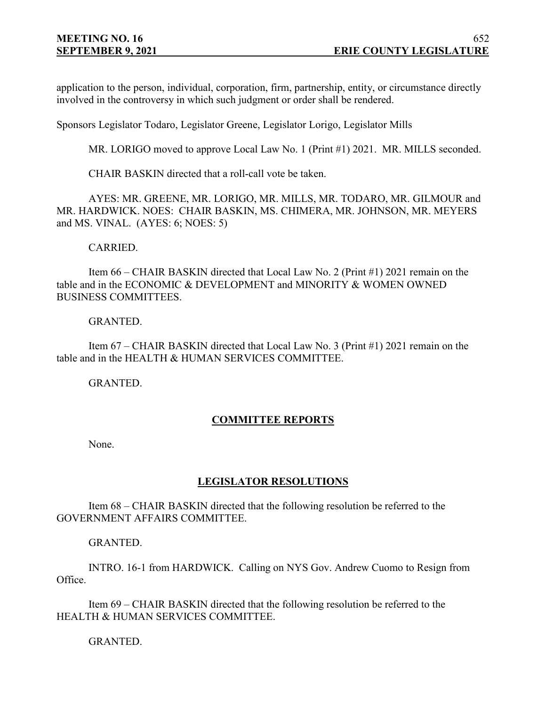application to the person, individual, corporation, firm, partnership, entity, or circumstance directly involved in the controversy in which such judgment or order shall be rendered.

Sponsors Legislator Todaro, Legislator Greene, Legislator Lorigo, Legislator Mills

MR. LORIGO moved to approve Local Law No. 1 (Print #1) 2021. MR. MILLS seconded.

CHAIR BASKIN directed that a roll-call vote be taken.

AYES: MR. GREENE, MR. LORIGO, MR. MILLS, MR. TODARO, MR. GILMOUR and MR. HARDWICK. NOES: CHAIR BASKIN, MS. CHIMERA, MR. JOHNSON, MR. MEYERS and MS. VINAL. (AYES: 6; NOES: 5)

CARRIED.

Item 66 – CHAIR BASKIN directed that Local Law No. 2 (Print #1) 2021 remain on the table and in the ECONOMIC & DEVELOPMENT and MINORITY & WOMEN OWNED BUSINESS COMMITTEES.

#### GRANTED.

Item 67 – CHAIR BASKIN directed that Local Law No. 3 (Print #1) 2021 remain on the table and in the HEALTH & HUMAN SERVICES COMMITTEE.

GRANTED.

# **COMMITTEE REPORTS**

None.

## **LEGISLATOR RESOLUTIONS**

Item 68 – CHAIR BASKIN directed that the following resolution be referred to the GOVERNMENT AFFAIRS COMMITTEE.

GRANTED.

INTRO. 16-1 from HARDWICK. Calling on NYS Gov. Andrew Cuomo to Resign from Office.

Item 69 – CHAIR BASKIN directed that the following resolution be referred to the HEALTH & HUMAN SERVICES COMMITTEE.

GRANTED.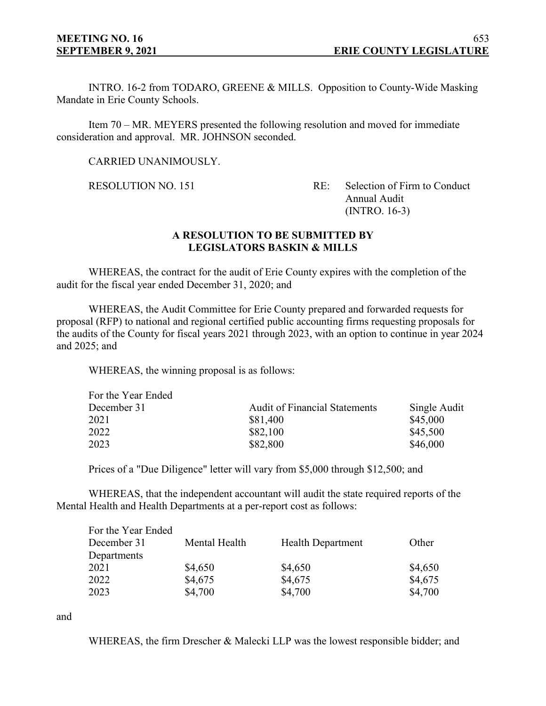INTRO. 16-2 from TODARO, GREENE & MILLS. Opposition to County-Wide Masking Mandate in Erie County Schools.

Item 70 – MR. MEYERS presented the following resolution and moved for immediate consideration and approval. MR. JOHNSON seconded.

CARRIED UNANIMOUSLY.

RESOLUTION NO. 151 RE: Selection of Firm to Conduct Annual Audit (INTRO. 16-3)

## **A RESOLUTION TO BE SUBMITTED BY LEGISLATORS BASKIN & MILLS**

WHEREAS, the contract for the audit of Erie County expires with the completion of the audit for the fiscal year ended December 31, 2020; and

WHEREAS, the Audit Committee for Erie County prepared and forwarded requests for proposal (RFP) to national and regional certified public accounting firms requesting proposals for the audits of the County for fiscal years 2021 through 2023, with an option to continue in year 2024 and 2025; and

WHEREAS, the winning proposal is as follows:

| For the Year Ended |                                      |              |
|--------------------|--------------------------------------|--------------|
| December 31        | <b>Audit of Financial Statements</b> | Single Audit |
| 2021               | \$81,400                             | \$45,000     |
| 2022               | \$82,100                             | \$45,500     |
| 2023               | \$82,800                             | \$46,000     |

Prices of a "Due Diligence" letter will vary from \$5,000 through \$12,500; and

WHEREAS, that the independent accountant will audit the state required reports of the Mental Health and Health Departments at a per-report cost as follows:

| For the Year Ended |               |                          |         |
|--------------------|---------------|--------------------------|---------|
| December 31        | Mental Health | <b>Health Department</b> | Other   |
| Departments        |               |                          |         |
| 2021               | \$4,650       | \$4,650                  | \$4,650 |
| 2022               | \$4,675       | \$4,675                  | \$4,675 |
| 2023               | \$4,700       | \$4,700                  | \$4,700 |

and

WHEREAS, the firm Drescher & Malecki LLP was the lowest responsible bidder; and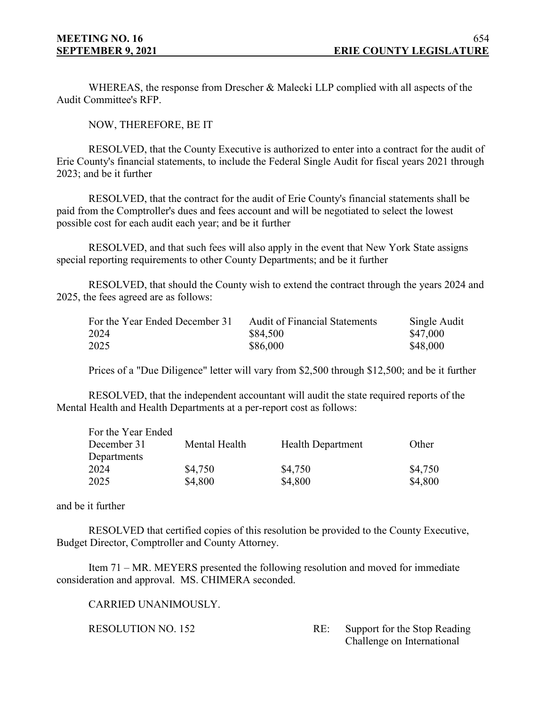WHEREAS, the response from Drescher & Malecki LLP complied with all aspects of the Audit Committee's RFP.

NOW, THEREFORE, BE IT

RESOLVED, that the County Executive is authorized to enter into a contract for the audit of Erie County's financial statements, to include the Federal Single Audit for fiscal years 2021 through 2023; and be it further

RESOLVED, that the contract for the audit of Erie County's financial statements shall be paid from the Comptroller's dues and fees account and will be negotiated to select the lowest possible cost for each audit each year; and be it further

RESOLVED, and that such fees will also apply in the event that New York State assigns special reporting requirements to other County Departments; and be it further

RESOLVED, that should the County wish to extend the contract through the years 2024 and 2025, the fees agreed are as follows:

| For the Year Ended December 31 | <b>Audit of Financial Statements</b> | Single Audit |
|--------------------------------|--------------------------------------|--------------|
| 2024                           | \$84,500                             | \$47,000     |
| 2025                           | \$86,000                             | \$48,000     |

Prices of a "Due Diligence" letter will vary from \$2,500 through \$12,500; and be it further

RESOLVED, that the independent accountant will audit the state required reports of the Mental Health and Health Departments at a per-report cost as follows:

| For the Year Ended |               |                          |         |
|--------------------|---------------|--------------------------|---------|
| December 31        | Mental Health | <b>Health Department</b> | Other   |
| Departments        |               |                          |         |
| 2024               | \$4,750       | \$4,750                  | \$4,750 |
| 2025               | \$4,800       | \$4,800                  | \$4,800 |

and be it further

RESOLVED that certified copies of this resolution be provided to the County Executive, Budget Director, Comptroller and County Attorney.

Item 71 – MR. MEYERS presented the following resolution and moved for immediate consideration and approval. MS. CHIMERA seconded.

CARRIED UNANIMOUSLY.

RESOLUTION NO. 152 RE: Support for the Stop Reading Challenge on International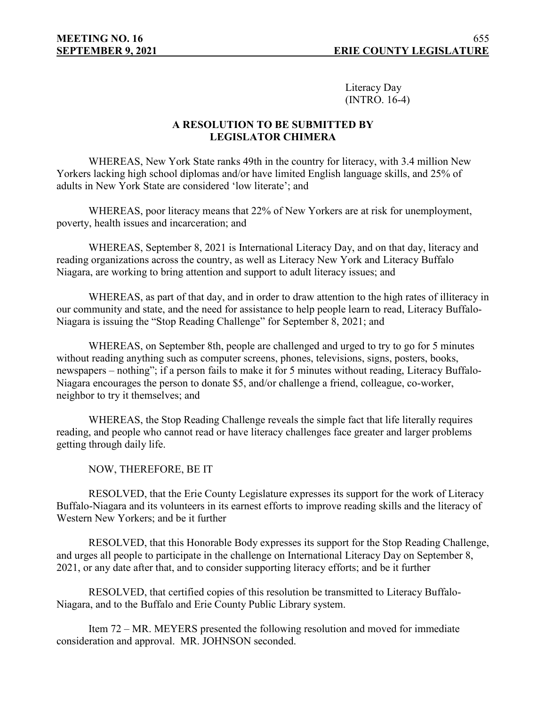Literacy Day (INTRO. 16-4)

## **A RESOLUTION TO BE SUBMITTED BY LEGISLATOR CHIMERA**

WHEREAS, New York State ranks 49th in the country for literacy, with 3.4 million New Yorkers lacking high school diplomas and/or have limited English language skills, and 25% of adults in New York State are considered 'low literate'; and

WHEREAS, poor literacy means that 22% of New Yorkers are at risk for unemployment, poverty, health issues and incarceration; and

WHEREAS, September 8, 2021 is International Literacy Day, and on that day, literacy and reading organizations across the country, as well as Literacy New York and Literacy Buffalo Niagara, are working to bring attention and support to adult literacy issues; and

WHEREAS, as part of that day, and in order to draw attention to the high rates of illiteracy in our community and state, and the need for assistance to help people learn to read, Literacy Buffalo-Niagara is issuing the "Stop Reading Challenge" for September 8, 2021; and

WHEREAS, on September 8th, people are challenged and urged to try to go for 5 minutes without reading anything such as computer screens, phones, televisions, signs, posters, books, newspapers – nothing"; if a person fails to make it for 5 minutes without reading, Literacy Buffalo-Niagara encourages the person to donate \$5, and/or challenge a friend, colleague, co-worker, neighbor to try it themselves; and

WHEREAS, the Stop Reading Challenge reveals the simple fact that life literally requires reading, and people who cannot read or have literacy challenges face greater and larger problems getting through daily life.

NOW, THEREFORE, BE IT

RESOLVED, that the Erie County Legislature expresses its support for the work of Literacy Buffalo-Niagara and its volunteers in its earnest efforts to improve reading skills and the literacy of Western New Yorkers; and be it further

RESOLVED, that this Honorable Body expresses its support for the Stop Reading Challenge, and urges all people to participate in the challenge on International Literacy Day on September 8, 2021, or any date after that, and to consider supporting literacy efforts; and be it further

RESOLVED, that certified copies of this resolution be transmitted to Literacy Buffalo-Niagara, and to the Buffalo and Erie County Public Library system.

Item 72 – MR. MEYERS presented the following resolution and moved for immediate consideration and approval. MR. JOHNSON seconded.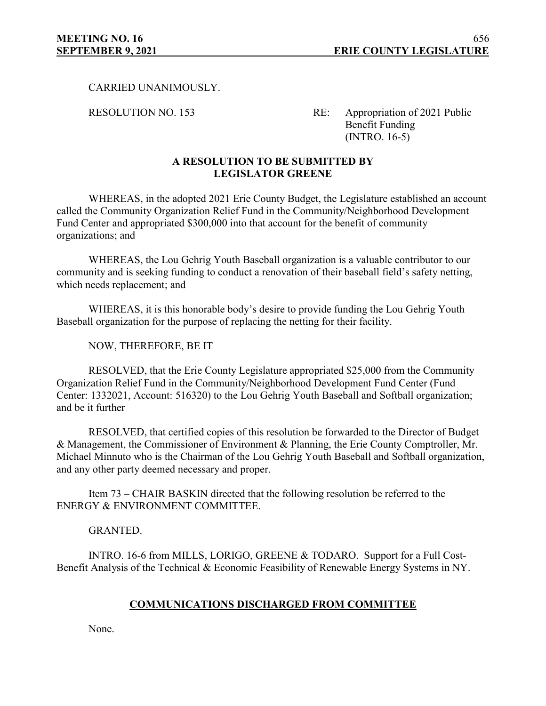CARRIED UNANIMOUSLY.

RESOLUTION NO. 153 RE: Appropriation of 2021 Public Benefit Funding (INTRO. 16-5)

## **A RESOLUTION TO BE SUBMITTED BY LEGISLATOR GREENE**

WHEREAS, in the adopted 2021 Erie County Budget, the Legislature established an account called the Community Organization Relief Fund in the Community/Neighborhood Development Fund Center and appropriated \$300,000 into that account for the benefit of community organizations; and

WHEREAS, the Lou Gehrig Youth Baseball organization is a valuable contributor to our community and is seeking funding to conduct a renovation of their baseball field's safety netting, which needs replacement; and

WHEREAS, it is this honorable body's desire to provide funding the Lou Gehrig Youth Baseball organization for the purpose of replacing the netting for their facility.

NOW, THEREFORE, BE IT

RESOLVED, that the Erie County Legislature appropriated \$25,000 from the Community Organization Relief Fund in the Community/Neighborhood Development Fund Center (Fund Center: 1332021, Account: 516320) to the Lou Gehrig Youth Baseball and Softball organization; and be it further

RESOLVED, that certified copies of this resolution be forwarded to the Director of Budget & Management, the Commissioner of Environment & Planning, the Erie County Comptroller, Mr. Michael Minnuto who is the Chairman of the Lou Gehrig Youth Baseball and Softball organization, and any other party deemed necessary and proper.

Item 73 – CHAIR BASKIN directed that the following resolution be referred to the ENERGY & ENVIRONMENT COMMITTEE.

#### GRANTED.

INTRO. 16-6 from MILLS, LORIGO, GREENE & TODARO. Support for a Full Cost-Benefit Analysis of the Technical & Economic Feasibility of Renewable Energy Systems in NY.

## **COMMUNICATIONS DISCHARGED FROM COMMITTEE**

None.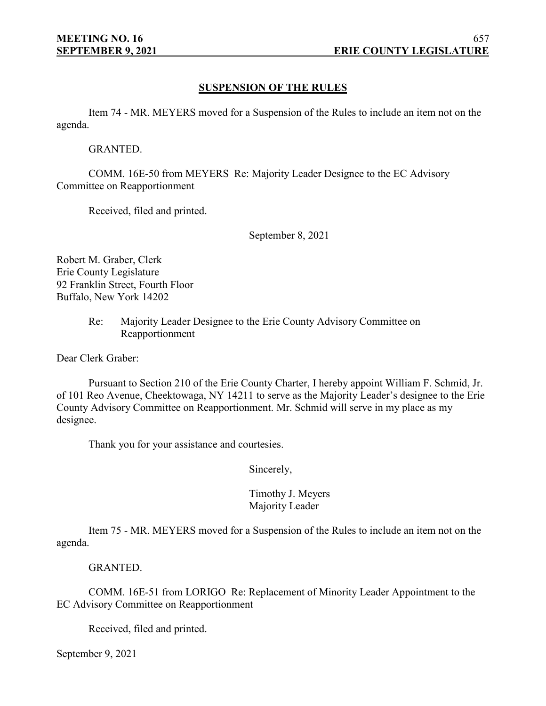## **SUSPENSION OF THE RULES**

Item 74 - MR. MEYERS moved for a Suspension of the Rules to include an item not on the agenda.

GRANTED.

COMM. 16E-50 from MEYERS Re: Majority Leader Designee to the EC Advisory Committee on Reapportionment

Received, filed and printed.

September 8, 2021

Robert M. Graber, Clerk Erie County Legislature 92 Franklin Street, Fourth Floor Buffalo, New York 14202

> Re: Majority Leader Designee to the Erie County Advisory Committee on Reapportionment

Dear Clerk Graber:

Pursuant to Section 210 of the Erie County Charter, I hereby appoint William F. Schmid, Jr. of 101 Reo Avenue, Cheektowaga, NY 14211 to serve as the Majority Leader's designee to the Erie County Advisory Committee on Reapportionment. Mr. Schmid will serve in my place as my designee.

Thank you for your assistance and courtesies.

Sincerely,

## Timothy J. Meyers Majority Leader

Item 75 - MR. MEYERS moved for a Suspension of the Rules to include an item not on the agenda.

GRANTED.

COMM. 16E-51 from LORIGO Re: Replacement of Minority Leader Appointment to the EC Advisory Committee on Reapportionment

Received, filed and printed.

September 9, 2021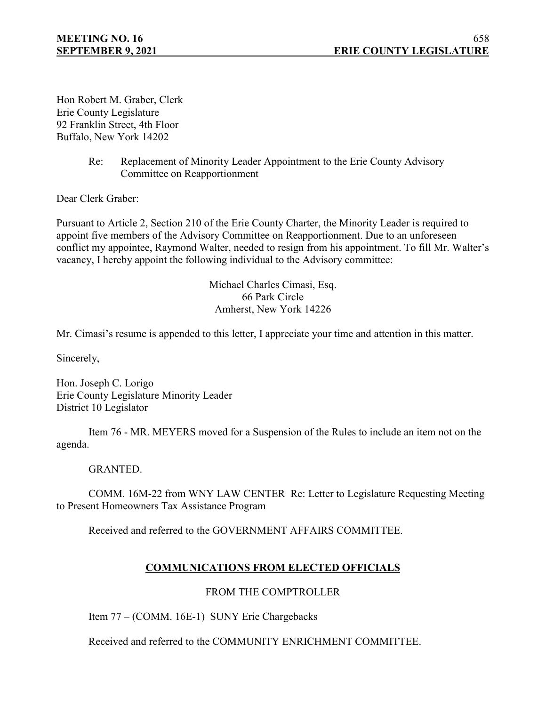Hon Robert M. Graber, Clerk Erie County Legislature 92 Franklin Street, 4th Floor Buffalo, New York 14202

> Re: Replacement of Minority Leader Appointment to the Erie County Advisory Committee on Reapportionment

Dear Clerk Graber:

Pursuant to Article 2, Section 210 of the Erie County Charter, the Minority Leader is required to appoint five members of the Advisory Committee on Reapportionment. Due to an unforeseen conflict my appointee, Raymond Walter, needed to resign from his appointment. To fill Mr. Walter's vacancy, I hereby appoint the following individual to the Advisory committee:

> Michael Charles Cimasi, Esq. 66 Park Circle Amherst, New York 14226

Mr. Cimasi's resume is appended to this letter, I appreciate your time and attention in this matter.

Sincerely,

Hon. Joseph C. Lorigo Erie County Legislature Minority Leader District 10 Legislator

Item 76 - MR. MEYERS moved for a Suspension of the Rules to include an item not on the agenda.

GRANTED.

COMM. 16M-22 from WNY LAW CENTER Re: Letter to Legislature Requesting Meeting to Present Homeowners Tax Assistance Program

Received and referred to the GOVERNMENT AFFAIRS COMMITTEE.

# **COMMUNICATIONS FROM ELECTED OFFICIALS**

## FROM THE COMPTROLLER

Item 77 – (COMM. 16E-1) SUNY Erie Chargebacks

Received and referred to the COMMUNITY ENRICHMENT COMMITTEE.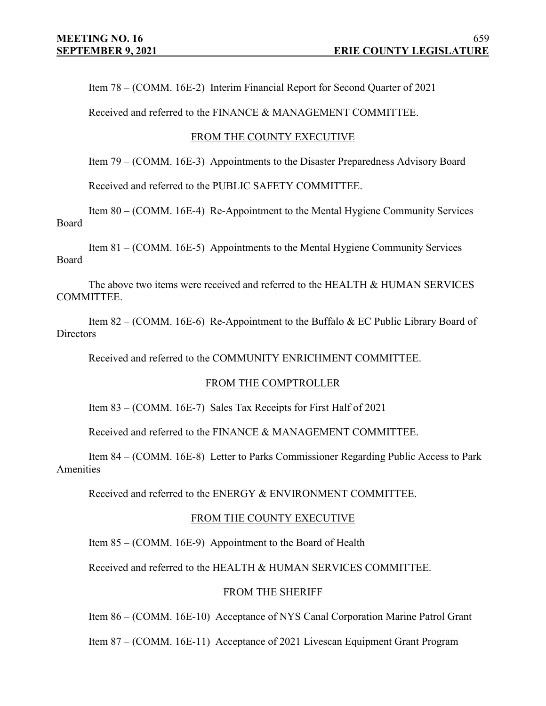Item 78 – (COMM. 16E-2) Interim Financial Report for Second Quarter of 2021

Received and referred to the FINANCE & MANAGEMENT COMMITTEE.

#### FROM THE COUNTY EXECUTIVE

Item 79 – (COMM. 16E-3) Appointments to the Disaster Preparedness Advisory Board

Received and referred to the PUBLIC SAFETY COMMITTEE.

Item 80 – (COMM. 16E-4) Re-Appointment to the Mental Hygiene Community Services Board

Item 81 – (COMM. 16E-5) Appointments to the Mental Hygiene Community Services Board

The above two items were received and referred to the HEALTH & HUMAN SERVICES COMMITTEE.

Item 82 – (COMM. 16E-6) Re-Appointment to the Buffalo & EC Public Library Board of **Directors** 

Received and referred to the COMMUNITY ENRICHMENT COMMITTEE.

#### FROM THE COMPTROLLER

Item 83 – (COMM. 16E-7) Sales Tax Receipts for First Half of 2021

Received and referred to the FINANCE & MANAGEMENT COMMITTEE.

Item 84 – (COMM. 16E-8) Letter to Parks Commissioner Regarding Public Access to Park Amenities

Received and referred to the ENERGY & ENVIRONMENT COMMITTEE.

## FROM THE COUNTY EXECUTIVE

Item 85 – (COMM. 16E-9) Appointment to the Board of Health

Received and referred to the HEALTH & HUMAN SERVICES COMMITTEE.

#### FROM THE SHERIFF

Item 86 – (COMM. 16E-10) Acceptance of NYS Canal Corporation Marine Patrol Grant

Item 87 – (COMM. 16E-11) Acceptance of 2021 Livescan Equipment Grant Program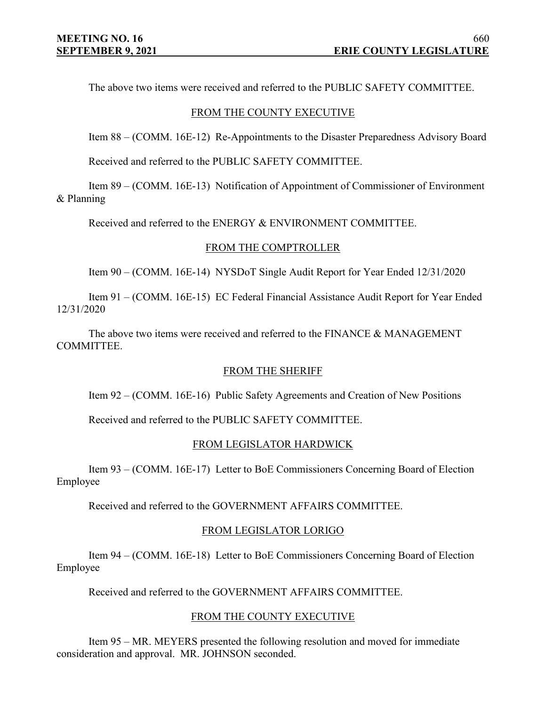The above two items were received and referred to the PUBLIC SAFETY COMMITTEE.

#### FROM THE COUNTY EXECUTIVE

Item 88 – (COMM. 16E-12) Re-Appointments to the Disaster Preparedness Advisory Board

Received and referred to the PUBLIC SAFETY COMMITTEE.

Item 89 – (COMM. 16E-13) Notification of Appointment of Commissioner of Environment & Planning

Received and referred to the ENERGY & ENVIRONMENT COMMITTEE.

#### FROM THE COMPTROLLER

Item 90 – (COMM. 16E-14) NYSDoT Single Audit Report for Year Ended 12/31/2020

Item 91 – (COMM. 16E-15) EC Federal Financial Assistance Audit Report for Year Ended 12/31/2020

The above two items were received and referred to the FINANCE & MANAGEMENT COMMITTEE.

## FROM THE SHERIFF

Item 92 – (COMM. 16E-16) Public Safety Agreements and Creation of New Positions

Received and referred to the PUBLIC SAFETY COMMITTEE.

## FROM LEGISLATOR HARDWICK

Item 93 – (COMM. 16E-17) Letter to BoE Commissioners Concerning Board of Election Employee

Received and referred to the GOVERNMENT AFFAIRS COMMITTEE.

## FROM LEGISLATOR LORIGO

Item 94 – (COMM. 16E-18) Letter to BoE Commissioners Concerning Board of Election Employee

Received and referred to the GOVERNMENT AFFAIRS COMMITTEE.

#### FROM THE COUNTY EXECUTIVE

Item 95 – MR. MEYERS presented the following resolution and moved for immediate consideration and approval. MR. JOHNSON seconded.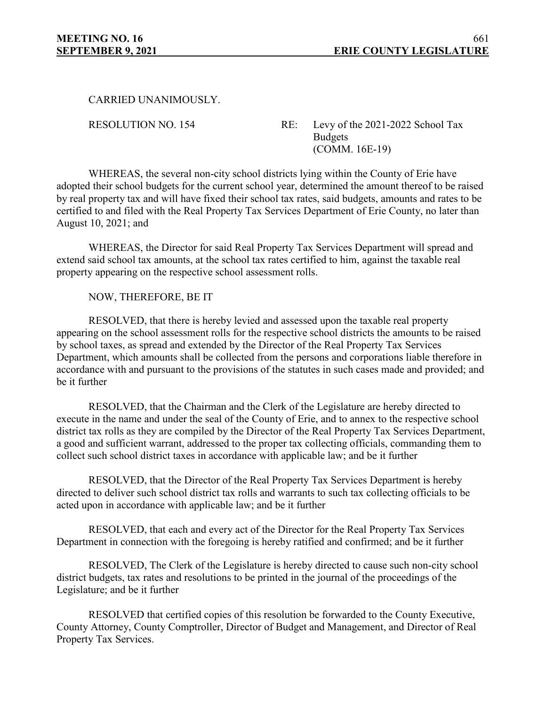CARRIED UNANIMOUSLY.

RESOLUTION NO. 154 RE: Levy of the 2021-2022 School Tax **Budgets** (COMM. 16E-19)

WHEREAS, the several non-city school districts lying within the County of Erie have adopted their school budgets for the current school year, determined the amount thereof to be raised by real property tax and will have fixed their school tax rates, said budgets, amounts and rates to be certified to and filed with the Real Property Tax Services Department of Erie County, no later than August 10, 2021; and

WHEREAS, the Director for said Real Property Tax Services Department will spread and extend said school tax amounts, at the school tax rates certified to him, against the taxable real property appearing on the respective school assessment rolls.

NOW, THEREFORE, BE IT

RESOLVED, that there is hereby levied and assessed upon the taxable real property appearing on the school assessment rolls for the respective school districts the amounts to be raised by school taxes, as spread and extended by the Director of the Real Property Tax Services Department, which amounts shall be collected from the persons and corporations liable therefore in accordance with and pursuant to the provisions of the statutes in such cases made and provided; and be it further

RESOLVED, that the Chairman and the Clerk of the Legislature are hereby directed to execute in the name and under the seal of the County of Erie, and to annex to the respective school district tax rolls as they are compiled by the Director of the Real Property Tax Services Department, a good and sufficient warrant, addressed to the proper tax collecting officials, commanding them to collect such school district taxes in accordance with applicable law; and be it further

RESOLVED, that the Director of the Real Property Tax Services Department is hereby directed to deliver such school district tax rolls and warrants to such tax collecting officials to be acted upon in accordance with applicable law; and be it further

RESOLVED, that each and every act of the Director for the Real Property Tax Services Department in connection with the foregoing is hereby ratified and confirmed; and be it further

RESOLVED, The Clerk of the Legislature is hereby directed to cause such non-city school district budgets, tax rates and resolutions to be printed in the journal of the proceedings of the Legislature; and be it further

RESOLVED that certified copies of this resolution be forwarded to the County Executive, County Attorney, County Comptroller, Director of Budget and Management, and Director of Real Property Tax Services.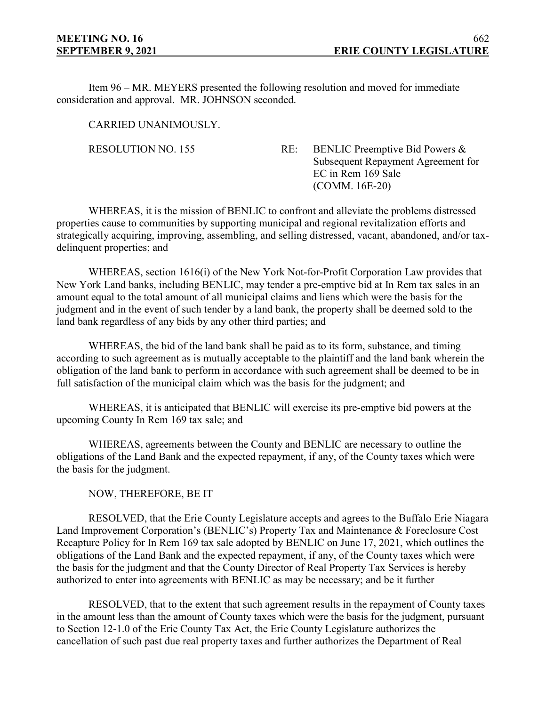Item 96 – MR. MEYERS presented the following resolution and moved for immediate consideration and approval. MR. JOHNSON seconded.

CARRIED UNANIMOUSLY.

RESOLUTION NO. 155 RE: BENLIC Preemptive Bid Powers & Subsequent Repayment Agreement for EC in Rem 169 Sale (COMM. 16E-20)

WHEREAS, it is the mission of BENLIC to confront and alleviate the problems distressed properties cause to communities by supporting municipal and regional revitalization efforts and strategically acquiring, improving, assembling, and selling distressed, vacant, abandoned, and/or taxdelinquent properties; and

WHEREAS, section 1616(i) of the New York Not-for-Profit Corporation Law provides that New York Land banks, including BENLIC, may tender a pre-emptive bid at In Rem tax sales in an amount equal to the total amount of all municipal claims and liens which were the basis for the judgment and in the event of such tender by a land bank, the property shall be deemed sold to the land bank regardless of any bids by any other third parties; and

WHEREAS, the bid of the land bank shall be paid as to its form, substance, and timing according to such agreement as is mutually acceptable to the plaintiff and the land bank wherein the obligation of the land bank to perform in accordance with such agreement shall be deemed to be in full satisfaction of the municipal claim which was the basis for the judgment; and

WHEREAS, it is anticipated that BENLIC will exercise its pre-emptive bid powers at the upcoming County In Rem 169 tax sale; and

WHEREAS, agreements between the County and BENLIC are necessary to outline the obligations of the Land Bank and the expected repayment, if any, of the County taxes which were the basis for the judgment.

NOW, THEREFORE, BE IT

RESOLVED, that the Erie County Legislature accepts and agrees to the Buffalo Erie Niagara Land Improvement Corporation's (BENLIC's) Property Tax and Maintenance & Foreclosure Cost Recapture Policy for In Rem 169 tax sale adopted by BENLIC on June 17, 2021, which outlines the obligations of the Land Bank and the expected repayment, if any, of the County taxes which were the basis for the judgment and that the County Director of Real Property Tax Services is hereby authorized to enter into agreements with BENLIC as may be necessary; and be it further

RESOLVED, that to the extent that such agreement results in the repayment of County taxes in the amount less than the amount of County taxes which were the basis for the judgment, pursuant to Section 12-1.0 of the Erie County Tax Act, the Erie County Legislature authorizes the cancellation of such past due real property taxes and further authorizes the Department of Real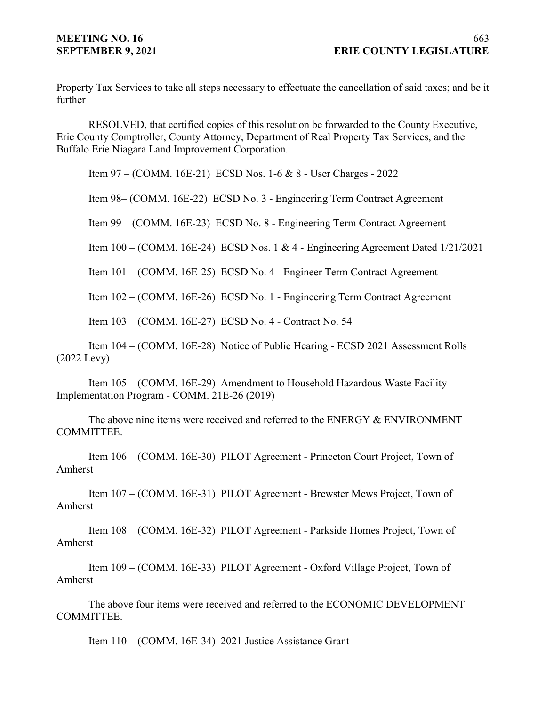Property Tax Services to take all steps necessary to effectuate the cancellation of said taxes; and be it further

RESOLVED, that certified copies of this resolution be forwarded to the County Executive, Erie County Comptroller, County Attorney, Department of Real Property Tax Services, and the Buffalo Erie Niagara Land Improvement Corporation.

Item 97 – (COMM. 16E-21) ECSD Nos. 1-6 & 8 - User Charges - 2022

Item 98– (COMM. 16E-22) ECSD No. 3 - Engineering Term Contract Agreement

Item 99 – (COMM. 16E-23) ECSD No. 8 - Engineering Term Contract Agreement

Item 100 – (COMM. 16E-24) ECSD Nos. 1 & 4 - Engineering Agreement Dated 1/21/2021

Item 101 – (COMM. 16E-25) ECSD No. 4 - Engineer Term Contract Agreement

Item 102 – (COMM. 16E-26) ECSD No. 1 - Engineering Term Contract Agreement

Item 103 – (COMM. 16E-27) ECSD No. 4 - Contract No. 54

Item 104 – (COMM. 16E-28) Notice of Public Hearing - ECSD 2021 Assessment Rolls (2022 Levy)

Item 105 – (COMM. 16E-29) Amendment to Household Hazardous Waste Facility Implementation Program - COMM. 21E-26 (2019)

The above nine items were received and referred to the ENERGY & ENVIRONMENT COMMITTEE.

Item 106 – (COMM. 16E-30) PILOT Agreement - Princeton Court Project, Town of Amherst

Item 107 – (COMM. 16E-31) PILOT Agreement - Brewster Mews Project, Town of Amherst

Item 108 – (COMM. 16E-32) PILOT Agreement - Parkside Homes Project, Town of Amherst

Item 109 – (COMM. 16E-33) PILOT Agreement - Oxford Village Project, Town of Amherst

The above four items were received and referred to the ECONOMIC DEVELOPMENT COMMITTEE.

Item 110 – (COMM. 16E-34) 2021 Justice Assistance Grant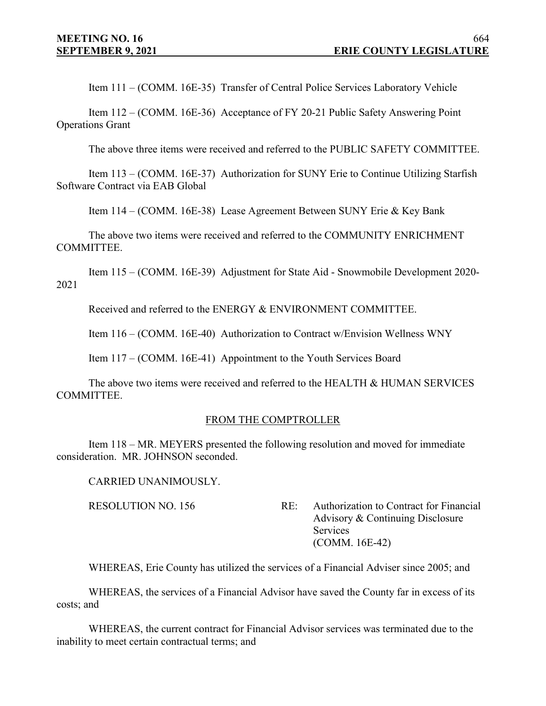Item 111 – (COMM. 16E-35) Transfer of Central Police Services Laboratory Vehicle

Item 112 – (COMM. 16E-36) Acceptance of FY 20-21 Public Safety Answering Point Operations Grant

The above three items were received and referred to the PUBLIC SAFETY COMMITTEE.

Item 113 – (COMM. 16E-37) Authorization for SUNY Erie to Continue Utilizing Starfish Software Contract via EAB Global

Item 114 – (COMM. 16E-38) Lease Agreement Between SUNY Erie & Key Bank

The above two items were received and referred to the COMMUNITY ENRICHMENT COMMITTEE.

Item 115 – (COMM. 16E-39) Adjustment for State Aid - Snowmobile Development 2020- 2021

Received and referred to the ENERGY & ENVIRONMENT COMMITTEE.

Item 116 – (COMM. 16E-40) Authorization to Contract w/Envision Wellness WNY

Item 117 – (COMM. 16E-41) Appointment to the Youth Services Board

The above two items were received and referred to the HEALTH & HUMAN SERVICES COMMITTEE.

#### FROM THE COMPTROLLER

Item 118 – MR. MEYERS presented the following resolution and moved for immediate consideration. MR. JOHNSON seconded.

CARRIED UNANIMOUSLY.

RESOLUTION NO. 156 RE: Authorization to Contract for Financial Advisory & Continuing Disclosure Services (COMM. 16E-42)

WHEREAS, Erie County has utilized the services of a Financial Adviser since 2005; and

WHEREAS, the services of a Financial Advisor have saved the County far in excess of its costs; and

WHEREAS, the current contract for Financial Advisor services was terminated due to the inability to meet certain contractual terms; and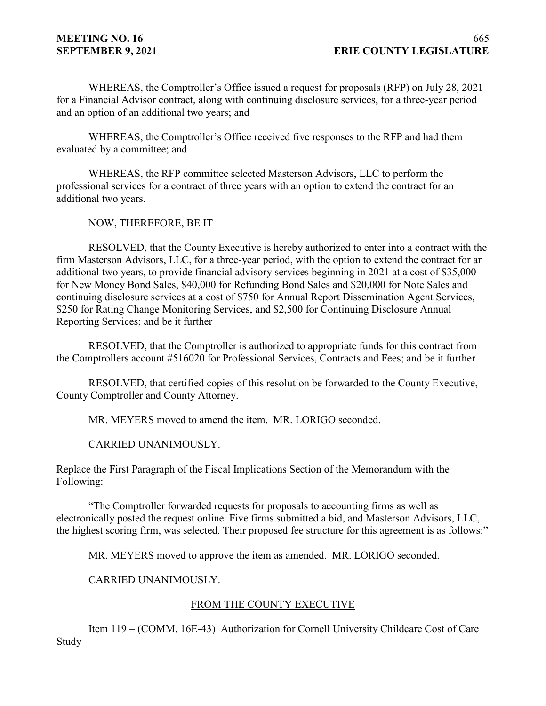WHEREAS, the Comptroller's Office issued a request for proposals (RFP) on July 28, 2021 for a Financial Advisor contract, along with continuing disclosure services, for a three-year period and an option of an additional two years; and

WHEREAS, the Comptroller's Office received five responses to the RFP and had them evaluated by a committee; and

WHEREAS, the RFP committee selected Masterson Advisors, LLC to perform the professional services for a contract of three years with an option to extend the contract for an additional two years.

NOW, THEREFORE, BE IT

RESOLVED, that the County Executive is hereby authorized to enter into a contract with the firm Masterson Advisors, LLC, for a three-year period, with the option to extend the contract for an additional two years, to provide financial advisory services beginning in 2021 at a cost of \$35,000 for New Money Bond Sales, \$40,000 for Refunding Bond Sales and \$20,000 for Note Sales and continuing disclosure services at a cost of \$750 for Annual Report Dissemination Agent Services, \$250 for Rating Change Monitoring Services, and \$2,500 for Continuing Disclosure Annual Reporting Services; and be it further

RESOLVED, that the Comptroller is authorized to appropriate funds for this contract from the Comptrollers account #516020 for Professional Services, Contracts and Fees; and be it further

RESOLVED, that certified copies of this resolution be forwarded to the County Executive, County Comptroller and County Attorney.

MR. MEYERS moved to amend the item. MR. LORIGO seconded.

CARRIED UNANIMOUSLY.

Replace the First Paragraph of the Fiscal Implications Section of the Memorandum with the Following:

"The Comptroller forwarded requests for proposals to accounting firms as well as electronically posted the request online. Five firms submitted a bid, and Masterson Advisors, LLC, the highest scoring firm, was selected. Their proposed fee structure for this agreement is as follows:"

MR. MEYERS moved to approve the item as amended. MR. LORIGO seconded.

CARRIED UNANIMOUSLY.

## FROM THE COUNTY EXECUTIVE

Item 119 – (COMM. 16E-43) Authorization for Cornell University Childcare Cost of Care Study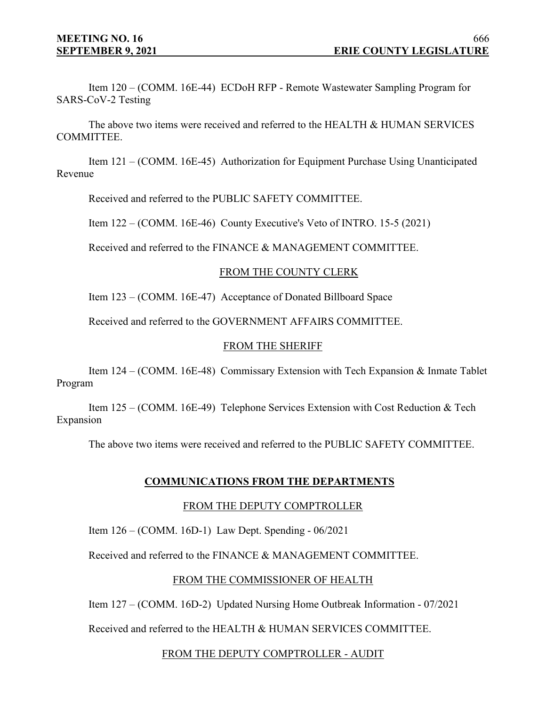Item 120 – (COMM. 16E-44) ECDoH RFP - Remote Wastewater Sampling Program for SARS-CoV-2 Testing

The above two items were received and referred to the HEALTH & HUMAN SERVICES COMMITTEE.

Item 121 – (COMM. 16E-45) Authorization for Equipment Purchase Using Unanticipated Revenue

Received and referred to the PUBLIC SAFETY COMMITTEE.

Item 122 – (COMM. 16E-46) County Executive's Veto of INTRO. 15-5 (2021)

Received and referred to the FINANCE & MANAGEMENT COMMITTEE.

## FROM THE COUNTY CLERK

Item 123 – (COMM. 16E-47) Acceptance of Donated Billboard Space

Received and referred to the GOVERNMENT AFFAIRS COMMITTEE.

#### FROM THE SHERIFF

Item 124 – (COMM. 16E-48) Commissary Extension with Tech Expansion & Inmate Tablet Program

Item 125 – (COMM. 16E-49) Telephone Services Extension with Cost Reduction & Tech Expansion

The above two items were received and referred to the PUBLIC SAFETY COMMITTEE.

## **COMMUNICATIONS FROM THE DEPARTMENTS**

#### FROM THE DEPUTY COMPTROLLER

Item 126 – (COMM. 16D-1) Law Dept. Spending - 06/2021

Received and referred to the FINANCE & MANAGEMENT COMMITTEE.

## FROM THE COMMISSIONER OF HEALTH

Item 127 – (COMM. 16D-2) Updated Nursing Home Outbreak Information - 07/2021

Received and referred to the HEALTH & HUMAN SERVICES COMMITTEE.

## FROM THE DEPUTY COMPTROLLER - AUDIT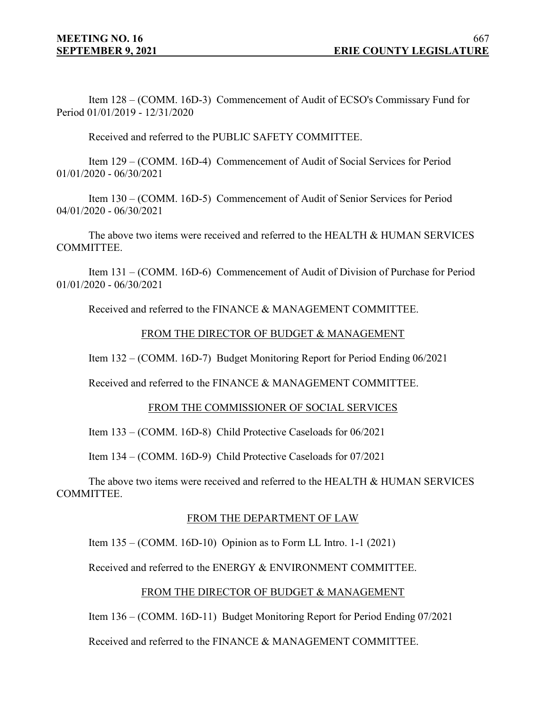Item 128 – (COMM. 16D-3) Commencement of Audit of ECSO's Commissary Fund for Period 01/01/2019 - 12/31/2020

Received and referred to the PUBLIC SAFETY COMMITTEE.

Item 129 – (COMM. 16D-4) Commencement of Audit of Social Services for Period 01/01/2020 - 06/30/2021

Item 130 – (COMM. 16D-5) Commencement of Audit of Senior Services for Period 04/01/2020 - 06/30/2021

The above two items were received and referred to the HEALTH & HUMAN SERVICES COMMITTEE.

Item 131 – (COMM. 16D-6) Commencement of Audit of Division of Purchase for Period 01/01/2020 - 06/30/2021

Received and referred to the FINANCE & MANAGEMENT COMMITTEE.

#### FROM THE DIRECTOR OF BUDGET & MANAGEMENT

Item 132 – (COMM. 16D-7) Budget Monitoring Report for Period Ending 06/2021

Received and referred to the FINANCE & MANAGEMENT COMMITTEE.

#### FROM THE COMMISSIONER OF SOCIAL SERVICES

Item 133 – (COMM. 16D-8) Child Protective Caseloads for 06/2021

Item 134 – (COMM. 16D-9) Child Protective Caseloads for 07/2021

The above two items were received and referred to the HEALTH & HUMAN SERVICES COMMITTEE.

## FROM THE DEPARTMENT OF LAW

Item 135 – (COMM. 16D-10) Opinion as to Form LL Intro. 1-1 (2021)

Received and referred to the ENERGY & ENVIRONMENT COMMITTEE.

## FROM THE DIRECTOR OF BUDGET & MANAGEMENT

Item 136 – (COMM. 16D-11) Budget Monitoring Report for Period Ending 07/2021

Received and referred to the FINANCE & MANAGEMENT COMMITTEE.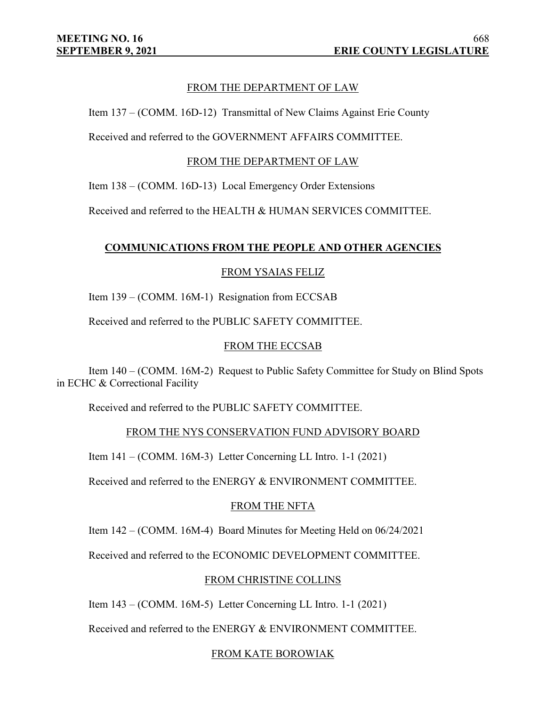## FROM THE DEPARTMENT OF LAW

Item 137 – (COMM. 16D-12) Transmittal of New Claims Against Erie County

Received and referred to the GOVERNMENT AFFAIRS COMMITTEE.

#### FROM THE DEPARTMENT OF LAW

Item 138 – (COMM. 16D-13) Local Emergency Order Extensions

Received and referred to the HEALTH & HUMAN SERVICES COMMITTEE.

# **COMMUNICATIONS FROM THE PEOPLE AND OTHER AGENCIES**

## FROM YSAIAS FELIZ

Item 139 – (COMM. 16M-1) Resignation from ECCSAB

Received and referred to the PUBLIC SAFETY COMMITTEE.

#### FROM THE ECCSAB

Item 140 – (COMM. 16M-2) Request to Public Safety Committee for Study on Blind Spots in ECHC & Correctional Facility

Received and referred to the PUBLIC SAFETY COMMITTEE.

## FROM THE NYS CONSERVATION FUND ADVISORY BOARD

Item 141 – (COMM. 16M-3) Letter Concerning LL Intro. 1-1 (2021)

Received and referred to the ENERGY & ENVIRONMENT COMMITTEE.

## FROM THE NFTA

Item 142 – (COMM. 16M-4) Board Minutes for Meeting Held on 06/24/2021

Received and referred to the ECONOMIC DEVELOPMENT COMMITTEE.

## FROM CHRISTINE COLLINS

Item 143 – (COMM. 16M-5) Letter Concerning LL Intro. 1-1 (2021)

Received and referred to the ENERGY & ENVIRONMENT COMMITTEE.

## FROM KATE BOROWIAK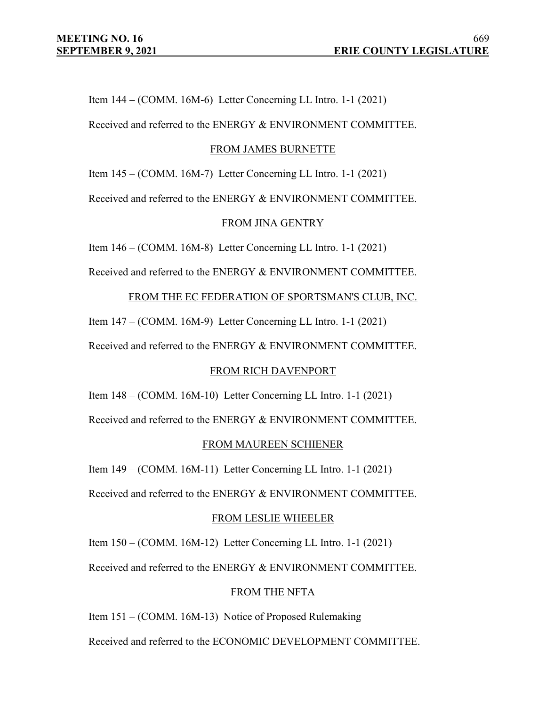Item 144 – (COMM. 16M-6) Letter Concerning LL Intro. 1-1 (2021)

Received and referred to the ENERGY & ENVIRONMENT COMMITTEE.

#### FROM JAMES BURNETTE

Item 145 – (COMM. 16M-7) Letter Concerning LL Intro. 1-1 (2021)

Received and referred to the ENERGY & ENVIRONMENT COMMITTEE.

#### FROM JINA GENTRY

Item 146 – (COMM. 16M-8) Letter Concerning LL Intro. 1-1 (2021)

Received and referred to the ENERGY & ENVIRONMENT COMMITTEE.

FROM THE EC FEDERATION OF SPORTSMAN'S CLUB, INC.

Item 147 – (COMM. 16M-9) Letter Concerning LL Intro. 1-1 (2021)

Received and referred to the ENERGY & ENVIRONMENT COMMITTEE.

## FROM RICH DAVENPORT

Item 148 – (COMM. 16M-10) Letter Concerning LL Intro. 1-1 (2021)

Received and referred to the ENERGY & ENVIRONMENT COMMITTEE.

## FROM MAUREEN SCHIENER

Item 149 – (COMM. 16M-11) Letter Concerning LL Intro. 1-1 (2021)

Received and referred to the ENERGY & ENVIRONMENT COMMITTEE.

## FROM LESLIE WHEELER

Item 150 – (COMM. 16M-12) Letter Concerning LL Intro. 1-1 (2021)

Received and referred to the ENERGY & ENVIRONMENT COMMITTEE.

#### FROM THE NFTA

Item 151 – (COMM. 16M-13) Notice of Proposed Rulemaking

Received and referred to the ECONOMIC DEVELOPMENT COMMITTEE.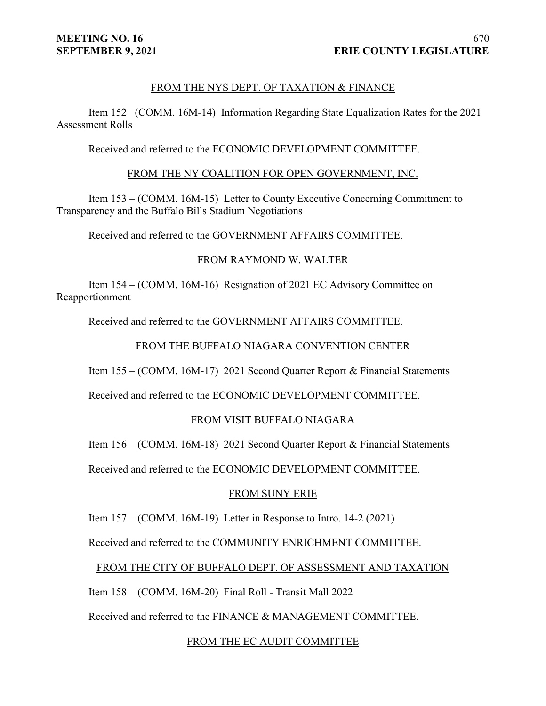# FROM THE NYS DEPT. OF TAXATION & FINANCE

Item 152– (COMM. 16M-14) Information Regarding State Equalization Rates for the 2021 Assessment Rolls

Received and referred to the ECONOMIC DEVELOPMENT COMMITTEE.

#### FROM THE NY COALITION FOR OPEN GOVERNMENT, INC.

Item 153 – (COMM. 16M-15) Letter to County Executive Concerning Commitment to Transparency and the Buffalo Bills Stadium Negotiations

Received and referred to the GOVERNMENT AFFAIRS COMMITTEE.

#### FROM RAYMOND W. WALTER

Item 154 – (COMM. 16M-16) Resignation of 2021 EC Advisory Committee on Reapportionment

Received and referred to the GOVERNMENT AFFAIRS COMMITTEE.

## FROM THE BUFFALO NIAGARA CONVENTION CENTER

Item 155 – (COMM. 16M-17) 2021 Second Quarter Report & Financial Statements

Received and referred to the ECONOMIC DEVELOPMENT COMMITTEE.

## FROM VISIT BUFFALO NIAGARA

Item 156 – (COMM. 16M-18) 2021 Second Quarter Report & Financial Statements

Received and referred to the ECONOMIC DEVELOPMENT COMMITTEE.

## FROM SUNY ERIE

Item 157 – (COMM. 16M-19) Letter in Response to Intro. 14-2 (2021)

Received and referred to the COMMUNITY ENRICHMENT COMMITTEE.

## FROM THE CITY OF BUFFALO DEPT. OF ASSESSMENT AND TAXATION

Item 158 – (COMM. 16M-20) Final Roll - Transit Mall 2022

Received and referred to the FINANCE & MANAGEMENT COMMITTEE.

## FROM THE EC AUDIT COMMITTEE